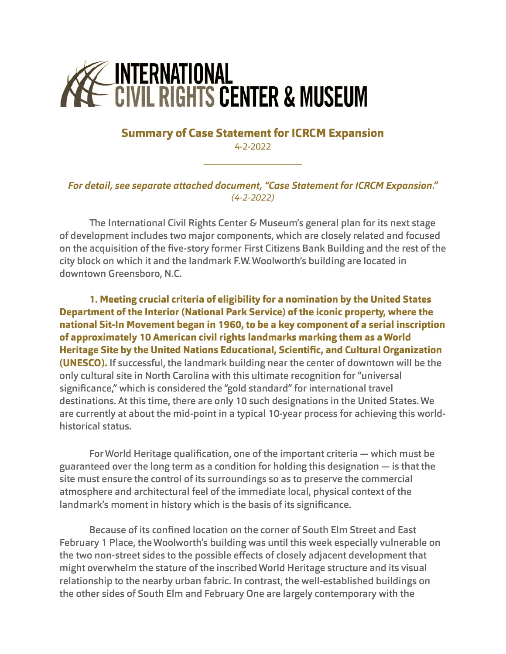## Z INTERNATIONAL<br>- Civil Rights Center & Museum

## **Summary of Case Statement for ICRCM Expansion** 4-2-2022

\_\_\_\_\_\_\_\_\_\_\_\_\_\_\_\_\_\_\_\_\_\_

## *For detail, see separate attached document, "Case Statement for ICRCM Expansion." (4-2-2022)*

The International Civil Rights Center & Museum's general plan for its next stage of development includes two major components, which are closely related and focused on the acquisition of the five-story former First Citizens Bank Building and the rest of the city block on which it and the landmark F.W. Woolworth's building are located in downtown Greensboro, N.C.

**1. Meeting crucial criteria of eligibility for a nomination by the United States Department of the Interior (National Park Service) of the iconic property, where the national Sit-In Movement began in 1960, to be a key component of a serial inscription of approximately 10 American civil rights landmarks marking them as a World Heritage Site by the United Nations Educational, Scientific, and Cultural Organization (UNESCO).** If successful, the landmark building near the center of downtown will be the only cultural site in North Carolina with this ultimate recognition for "universal significance," which is considered the "gold standard" for international travel destinations. At this time, there are only 10 such designations in the United States. We are currently at about the mid-point in a typical 10-year process for achieving this worldhistorical status.

For World Heritage qualification, one of the important criteria — which must be guaranteed over the long term as a condition for holding this designation — is that the site must ensure the control of its surroundings so as to preserve the commercial atmosphere and architectural feel of the immediate local, physical context of the landmark's moment in history which is the basis of its significance.

Because of its confined location on the corner of South Elm Street and East February 1 Place, the Woolworth's building was until this week especially vulnerable on the two non-street sides to the possible effects of closely adjacent development that might overwhelm the stature of the inscribed World Heritage structure and its visual relationship to the nearby urban fabric. In contrast, the well-established buildings on the other sides of South Elm and February One are largely contemporary with the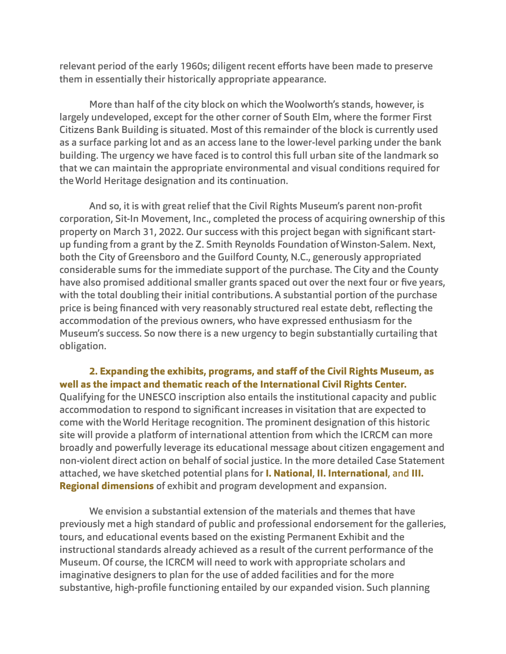relevant period of the early 1960s; diligent recent efforts have been made to preserve them in essentially their historically appropriate appearance.

 More than half of the city block on which the Woolworth's stands, however, is largely undeveloped, except for the other corner of South Elm, where the former First Citizens Bank Building is situated. Most of this remainder of the block is currently used as a surface parking lot and as an access lane to the lower-level parking under the bank building. The urgency we have faced is to control this full urban site of the landmark so that we can maintain the appropriate environmental and visual conditions required for the World Heritage designation and its continuation.

And so, it is with great relief that the Civil Rights Museum's parent non-profit corporation, Sit-In Movement, Inc., completed the process of acquiring ownership of this property on March 31, 2022. Our success with this project began with significant startup funding from a grant by the Z. Smith Reynolds Foundation of Winston-Salem. Next, both the City of Greensboro and the Guilford County, N.C., generously appropriated considerable sums for the immediate support of the purchase. The City and the County have also promised additional smaller grants spaced out over the next four or five years, with the total doubling their initial contributions. A substantial portion of the purchase price is being financed with very reasonably structured real estate debt, reflecting the accommodation of the previous owners, who have expressed enthusiasm for the Museum's success. So now there is a new urgency to begin substantially curtailing that obligation.

## **2. Expanding the exhibits, programs, and sta! of the Civil Rights Museum, as well as the impact and thematic reach of the International Civil Rights Center.**

Qualifying for the UNESCO inscription also entails the institutional capacity and public accommodation to respond to significant increases in visitation that are expected to come with the World Heritage recognition. The prominent designation of this historic site will provide a platform of international attention from which the ICRCM can more broadly and powerfully leverage its educational message about citizen engagement and non-violent direct action on behalf of social justice. In the more detailed Case Statement attached, we have sketched potential plans for **I. National**, **II. International**, and **III. Regional dimensions** of exhibit and program development and expansion.

We envision a substantial extension of the materials and themes that have previously met a high standard of public and professional endorsement for the galleries, tours, and educational events based on the existing Permanent Exhibit and the instructional standards already achieved as a result of the current performance of the Museum. Of course, the ICRCM will need to work with appropriate scholars and imaginative designers to plan for the use of added facilities and for the more substantive, high-profile functioning entailed by our expanded vision. Such planning